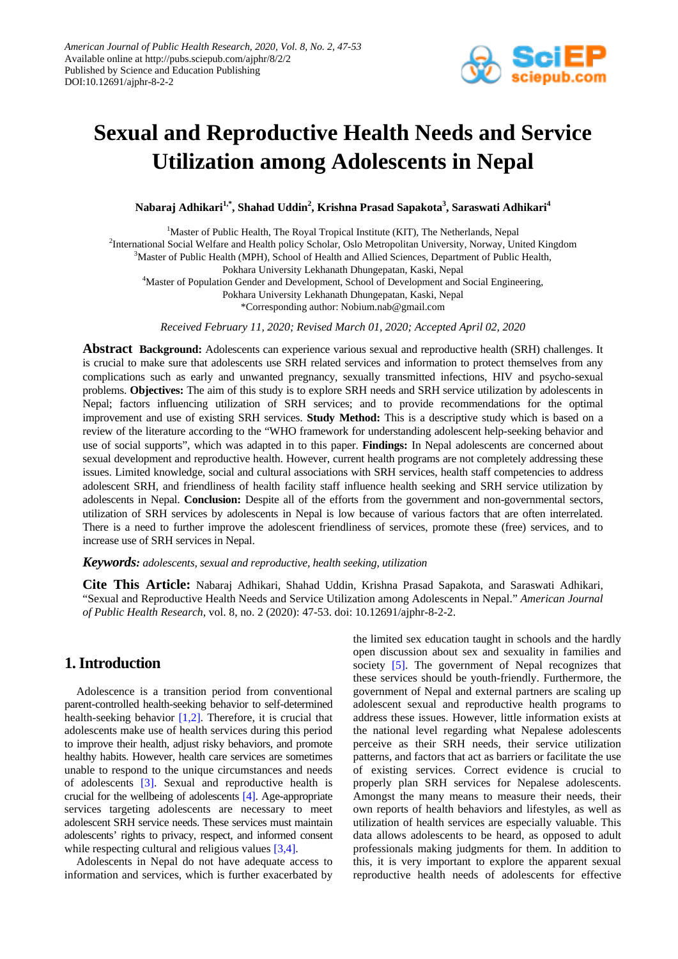

# **Sexual and Reproductive Health Needs and Service Utilization among Adolescents in Nepal**

**Nabaraj Adhikari1,\* , Shahad Uddin<sup>2</sup> , Krishna Prasad Sapakota<sup>3</sup> , Saraswati Adhikari<sup>4</sup>**

<sup>1</sup>Master of Public Health, The Royal Tropical Institute (KIT), The Netherlands, Nepal <sup>2</sup>International Social Welfare and Health policy Scholar, Oslo Metropolitan University, Norway, United Kingdom <sup>3</sup>Master of Public Health (MPH), School of Health and Allied Sciences, Department of Public Health, Pokhara University Lekhanath Dhungepatan, Kaski, Nepal <sup>4</sup>Master of Population Gender and Development, School of Development and Social Engineering, Pokhara University Lekhanath Dhungepatan, Kaski, Nepal

\*Corresponding author: Nobium.nab@gmail.com

*Received February 11, 2020; Revised March 01, 2020; Accepted April 02, 2020*

**Abstract Background:** Adolescents can experience various sexual and reproductive health (SRH) challenges. It is crucial to make sure that adolescents use SRH related services and information to protect themselves from any complications such as early and unwanted pregnancy, sexually transmitted infections, HIV and psycho-sexual problems. **Objectives:** The aim of this study is to explore SRH needs and SRH service utilization by adolescents in Nepal; factors influencing utilization of SRH services; and to provide recommendations for the optimal improvement and use of existing SRH services. **Study Method:** This is a descriptive study which is based on a review of the literature according to the "WHO framework for understanding adolescent help-seeking behavior and use of social supports", which was adapted in to this paper. **Findings:** In Nepal adolescents are concerned about sexual development and reproductive health. However, current health programs are not completely addressing these issues. Limited knowledge, social and cultural associations with SRH services, health staff competencies to address adolescent SRH, and friendliness of health facility staff influence health seeking and SRH service utilization by adolescents in Nepal. **Conclusion:** Despite all of the efforts from the government and non-governmental sectors, utilization of SRH services by adolescents in Nepal is low because of various factors that are often interrelated. There is a need to further improve the adolescent friendliness of services, promote these (free) services, and to increase use of SRH services in Nepal.

*Keywords: adolescents, sexual and reproductive, health seeking, utilization*

**Cite This Article:** Nabaraj Adhikari, Shahad Uddin, Krishna Prasad Sapakota, and Saraswati Adhikari, "Sexual and Reproductive Health Needs and Service Utilization among Adolescents in Nepal." *American Journal of Public Health Research*, vol. 8, no. 2 (2020): 47-53. doi: 10.12691/ajphr-8-2-2.

# **1. Introduction**

Adolescence is a transition period from conventional parent-controlled health-seeking behavior to self-determined health-seeking behavior [\[1,2\].](#page-5-0) Therefore, it is crucial that adolescents make use of health services during this period to improve their health, adjust risky behaviors, and promote healthy habits. However, health care services are sometimes unable to respond to the unique circumstances and needs of adolescents [\[3\].](#page-6-0) Sexual and reproductive health is crucial for the wellbeing of adolescents [\[4\].](#page-6-1) Age-appropriate services targeting adolescents are necessary to meet adolescent SRH service needs. These services must maintain adolescents' rights to privacy, respect, and informed consent while respecting cultural and religious values [\[3,4\].](#page-6-0)

Adolescents in Nepal do not have adequate access to information and services, which is further exacerbated by the limited sex education taught in schools and the hardly open discussion about sex and sexuality in families and society [\[5\].](#page-6-2) The government of Nepal recognizes that these services should be youth-friendly. Furthermore, the government of Nepal and external partners are scaling up adolescent sexual and reproductive health programs to address these issues. However, little information exists at the national level regarding what Nepalese adolescents perceive as their SRH needs, their service utilization patterns, and factors that act as barriers or facilitate the use of existing services. Correct evidence is crucial to properly plan SRH services for Nepalese adolescents. Amongst the many means to measure their needs, their own reports of health behaviors and lifestyles, as well as utilization of health services are especially valuable. This data allows adolescents to be heard, as opposed to adult professionals making judgments for them. In addition to this, it is very important to explore the apparent sexual reproductive health needs of adolescents for effective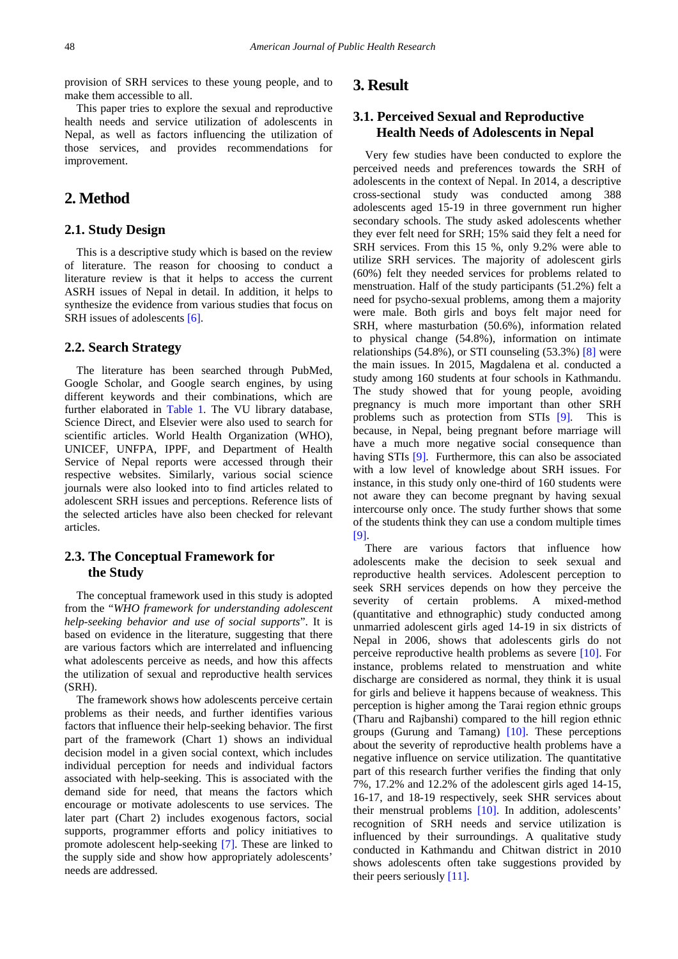provision of SRH services to these young people, and to make them accessible to all.

This paper tries to explore the sexual and reproductive health needs and service utilization of adolescents in Nepal, as well as factors influencing the utilization of those services, and provides recommendations for improvement.

# **2. Method**

#### **2.1. Study Design**

This is a descriptive study which is based on the review of literature. The reason for choosing to conduct a literature review is that it helps to access the current ASRH issues of Nepal in detail. In addition, it helps to synthesize the evidence from various studies that focus on SRH issues of adolescents [\[6\].](#page-6-3)

#### **2.2. Search Strategy**

The literature has been searched through PubMed, Google Scholar, and Google search engines, by using different keywords and their combinations, which are further elaborated in [Table 1.](#page-2-0) The VU library database, Science Direct, and Elsevier were also used to search for scientific articles. World Health Organization (WHO), UNICEF, UNFPA, IPPF, and Department of Health Service of Nepal reports were accessed through their respective websites. Similarly, various social science journals were also looked into to find articles related to adolescent SRH issues and perceptions. Reference lists of the selected articles have also been checked for relevant articles.

#### **2.3. The Conceptual Framework for the Study**

The conceptual framework used in this study is adopted from the "*WHO framework for understanding adolescent help-seeking behavior and use of social supports*". It is based on evidence in the literature, suggesting that there are various factors which are interrelated and influencing what adolescents perceive as needs, and how this affects the utilization of sexual and reproductive health services (SRH).

The framework shows how adolescents perceive certain problems as their needs, and further identifies various factors that influence their help-seeking behavior. The first part of the framework (Chart 1) shows an individual decision model in a given social context, which includes individual perception for needs and individual factors associated with help-seeking. This is associated with the demand side for need, that means the factors which encourage or motivate adolescents to use services. The later part (Chart 2) includes exogenous factors, social supports, programmer efforts and policy initiatives to promote adolescent help-seeking [\[7\].](#page-6-4) These are linked to the supply side and show how appropriately adolescents' needs are addressed.

## **3. Result**

#### **3.1. Perceived Sexual and Reproductive Health Needs of Adolescents in Nepal**

Very few studies have been conducted to explore the perceived needs and preferences towards the SRH of adolescents in the context of Nepal. In 2014, a descriptive cross-sectional study was conducted among 388 adolescents aged 15-19 in three government run higher secondary schools. The study asked adolescents whether they ever felt need for SRH; 15% said they felt a need for SRH services. From this 15 %, only 9.2% were able to utilize SRH services. The majority of adolescent girls (60%) felt they needed services for problems related to menstruation. Half of the study participants (51.2%) felt a need for psycho-sexual problems, among them a majority were male. Both girls and boys felt major need for SRH, where masturbation (50.6%), information related to physical change (54.8%), information on intimate relationships  $(54.8\%)$ , or STI counseling  $(53.3\%)$  [\[8\]](#page-6-5) were the main issues. In 2015, Magdalena et al. conducted a study among 160 students at four schools in Kathmandu. The study showed that for young people, avoiding pregnancy is much more important than other SRH problems such as protection from STIs [\[9\].](#page-6-6) This is because, in Nepal, being pregnant before marriage will have a much more negative social consequence than having STIs [\[9\].](#page-6-6) Furthermore, this can also be associated with a low level of knowledge about SRH issues. For instance, in this study only one-third of 160 students were not aware they can become pregnant by having sexual intercourse only once. The study further shows that some of the students think they can use a condom multiple times [\[9\].](#page-6-6)

There are various factors that influence how adolescents make the decision to seek sexual and reproductive health services. Adolescent perception to seek SRH services depends on how they perceive the severity of certain problems. A mixed-method (quantitative and ethnographic) study conducted among unmarried adolescent girls aged 14-19 in six districts of Nepal in 2006, shows that adolescents girls do not perceive reproductive health problems as severe [\[10\].](#page-6-7) For instance, problems related to menstruation and white discharge are considered as normal, they think it is usual for girls and believe it happens because of weakness. This perception is higher among the Tarai region ethnic groups (Tharu and Rajbanshi) compared to the hill region ethnic groups (Gurung and Tamang) [\[10\].](#page-6-7) These perceptions about the severity of reproductive health problems have a negative influence on service utilization. The quantitative part of this research further verifies the finding that only 7%, 17.2% and 12.2% of the adolescent girls aged 14-15, 16-17, and 18-19 respectively, seek SHR services about their menstrual problems [\[10\].](#page-6-7) In addition, adolescents' recognition of SRH needs and service utilization is influenced by their surroundings. A qualitative study conducted in Kathmandu and Chitwan district in 2010 shows adolescents often take suggestions provided by their peers seriously [\[11\].](#page-6-8)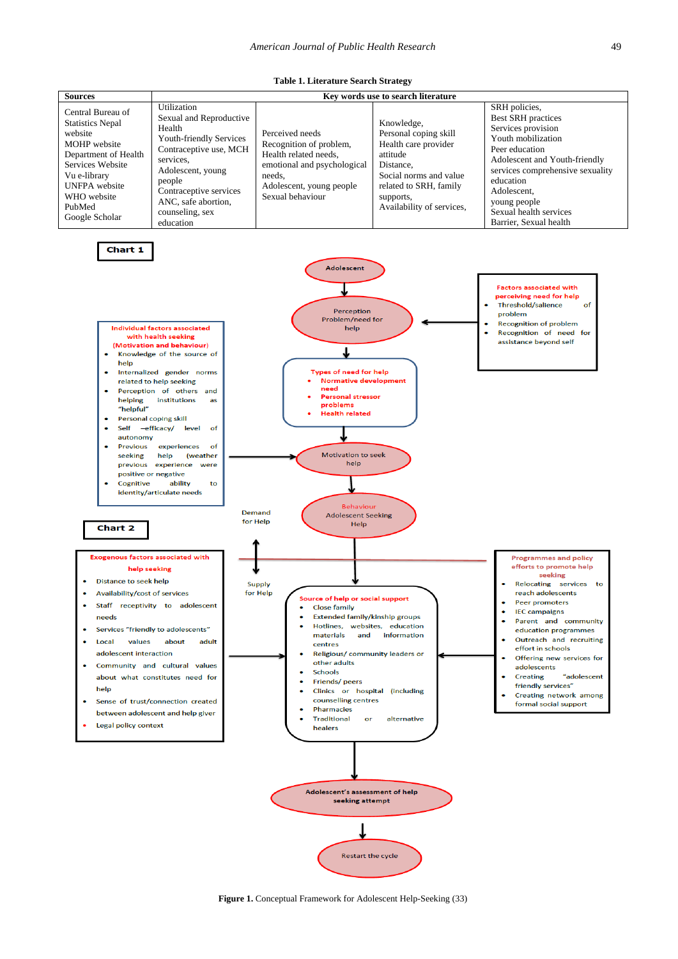<span id="page-2-0"></span>

| <b>Sources</b>                                                                                                                                                                                                                                                                                                                                                                                                                                                                                                                                                                                                                                                                                                                                                                                                                                                                                                                                                                                                                                                                                                                                                                                                                                                                                                                                                                                                                                                                                                                                                                                                                                                                                                                                                                                                                                                                                                                                                                                                                                                                                                                                                                                                                                                                                                                                                                                                                                                                    |                                                                                                                                                                                                                                    |                                                                                                                                                              | Key words use to search literature                                                                                                                                                 |                                                                                                                                                                                                                                                                               |  |
|-----------------------------------------------------------------------------------------------------------------------------------------------------------------------------------------------------------------------------------------------------------------------------------------------------------------------------------------------------------------------------------------------------------------------------------------------------------------------------------------------------------------------------------------------------------------------------------------------------------------------------------------------------------------------------------------------------------------------------------------------------------------------------------------------------------------------------------------------------------------------------------------------------------------------------------------------------------------------------------------------------------------------------------------------------------------------------------------------------------------------------------------------------------------------------------------------------------------------------------------------------------------------------------------------------------------------------------------------------------------------------------------------------------------------------------------------------------------------------------------------------------------------------------------------------------------------------------------------------------------------------------------------------------------------------------------------------------------------------------------------------------------------------------------------------------------------------------------------------------------------------------------------------------------------------------------------------------------------------------------------------------------------------------------------------------------------------------------------------------------------------------------------------------------------------------------------------------------------------------------------------------------------------------------------------------------------------------------------------------------------------------------------------------------------------------------------------------------------------------|------------------------------------------------------------------------------------------------------------------------------------------------------------------------------------------------------------------------------------|--------------------------------------------------------------------------------------------------------------------------------------------------------------|------------------------------------------------------------------------------------------------------------------------------------------------------------------------------------|-------------------------------------------------------------------------------------------------------------------------------------------------------------------------------------------------------------------------------------------------------------------------------|--|
| Central Bureau of<br><b>Statistics Nepal</b><br>website<br>MOHP website<br>Department of Health<br>Services Website<br>Vu e-library<br><b>UNFPA</b> website<br>WHO website<br>PubMed<br>Google Scholar                                                                                                                                                                                                                                                                                                                                                                                                                                                                                                                                                                                                                                                                                                                                                                                                                                                                                                                                                                                                                                                                                                                                                                                                                                                                                                                                                                                                                                                                                                                                                                                                                                                                                                                                                                                                                                                                                                                                                                                                                                                                                                                                                                                                                                                                            | Utilization<br>Sexual and Reproductive<br>Health<br>Youth-friendly Services<br>Contraceptive use, MCH<br>services,<br>Adolescent, young<br>people<br>Contraceptive services<br>ANC, safe abortion,<br>counseling, sex<br>education | Perceived needs<br>Recognition of problem,<br>Health related needs,<br>emotional and psychological<br>needs,<br>Adolescent, young people<br>Sexual behaviour | Knowledge,<br>Personal coping skill<br>Health care provider<br>attitude<br>Distance,<br>Social norms and value<br>related to SRH, family<br>supports,<br>Availability of services, | SRH policies,<br><b>Best SRH</b> practices<br>Services provision<br>Youth mobilization<br>Peer education<br>Adolescent and Youth-friendly<br>services comprehensive sexuality<br>education<br>Adolescent,<br>young people<br>Sexual health services<br>Barrier, Sexual health |  |
| Chart 1<br><b>Adolescent</b><br><b>Factors associated with</b><br>perceiving need for help<br><b>Threshold/salience</b><br>of<br>Perception<br>problem<br>Problem/need for<br><b>Recognition of problem</b><br>Individual factors associated<br>help<br>Recognition of need for<br>with health seeking<br>assistance beyond self<br>(Motivation and behaviour)<br>Knowledge of the source of<br>۰<br>help<br>Types of need for help<br>Internalized gender norms<br>$\bullet$<br><b>Normative development</b><br>related to help seeking<br>need<br>Perception of others and<br>Personal stressor<br>helping<br>institutions<br>as<br>problems<br>"helpful"<br><b>Health related</b><br><b>Personal coping skill</b><br>-efficacy/<br>level<br>Self<br>of<br>autonomy<br>of<br><b>Previous</b><br>experiences<br>Motivation to seek<br>seeking<br>help<br>(weather<br>help<br>previous experience were<br>positive or negative<br>Cognitive<br>ability<br>to<br>identity/articulate needs<br><b>Behaviour</b><br><b>Demand</b><br><b>Adolescent Seeking</b><br>for Help<br>Help<br>Chart 2<br><b>Exogenous factors associated with</b><br><b>Programmes and policy</b><br>efforts to promote help<br>help seeking<br>seeking<br>Distance to seek help<br>Relocating services to<br><b>Supply</b><br>Availability/cost of services<br>for Help<br>reach adolescents<br>Source of help or social support<br><b>Peer promoters</b><br>Staff receptivity to adolescent<br><b>Close family</b><br><b>IEC</b> campaigns<br><b>Extended family/kinship groups</b><br>needs<br>Parent and community<br>Hotlines, websites, education<br>Services "friendly to adolescents"<br>education programmes<br>and<br>information<br>materials<br>Outreach and recruiting<br>Local<br>values<br>about<br>adult<br>centres<br>effort in schools<br>adolescent interaction<br>Religious/ community leaders or<br>Offering new services for<br>other adults<br>Community and cultural values<br>adolescents<br><b>Schools</b><br><b>Creating</b><br>"adolescent<br>about what constitutes need for<br>Friends/peers<br>٠<br>friendly services"<br>help<br>Clinics or hospital (including<br>Creating network among<br>counselling centres<br>Sense of trust/connection created<br>formal social support<br><b>Pharmacies</b><br>between adolescent and help giver<br><b>Traditional</b><br>alternative<br>or<br>Legal policy context<br>healers<br>Adolescent's assessment of help<br>seeking attempt |                                                                                                                                                                                                                                    |                                                                                                                                                              |                                                                                                                                                                                    |                                                                                                                                                                                                                                                                               |  |
|                                                                                                                                                                                                                                                                                                                                                                                                                                                                                                                                                                                                                                                                                                                                                                                                                                                                                                                                                                                                                                                                                                                                                                                                                                                                                                                                                                                                                                                                                                                                                                                                                                                                                                                                                                                                                                                                                                                                                                                                                                                                                                                                                                                                                                                                                                                                                                                                                                                                                   |                                                                                                                                                                                                                                    |                                                                                                                                                              |                                                                                                                                                                                    |                                                                                                                                                                                                                                                                               |  |

Restart the cycle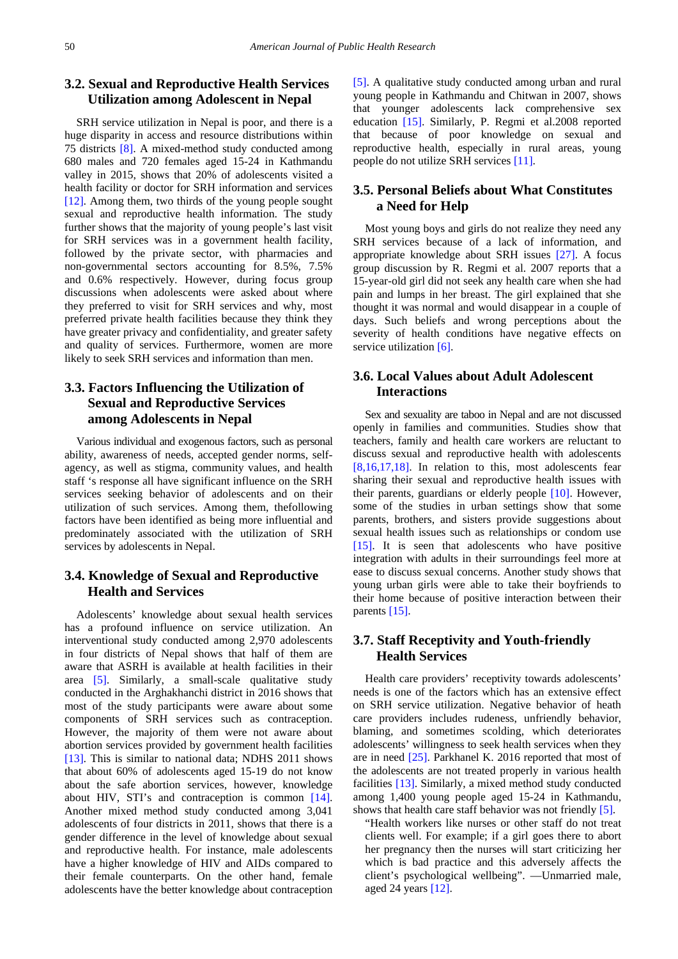# **3.2. Sexual and Reproductive Health Services Utilization among Adolescent in Nepal**

SRH service utilization in Nepal is poor, and there is a huge disparity in access and resource distributions within 75 districts [\[8\].](#page-6-5) A mixed-method study conducted among 680 males and 720 females aged 15-24 in Kathmandu valley in 2015, shows that 20% of adolescents visited a health facility or doctor for SRH information and services [\[12\].](#page-6-9) Among them, two thirds of the young people sought sexual and reproductive health information. The study further shows that the majority of young people's last visit for SRH services was in a government health facility, followed by the private sector, with pharmacies and non-governmental sectors accounting for 8.5%, 7.5% and 0.6% respectively. However, during focus group discussions when adolescents were asked about where they preferred to visit for SRH services and why, most preferred private health facilities because they think they have greater privacy and confidentiality, and greater safety and quality of services. Furthermore, women are more likely to seek SRH services and information than men.

# **3.3. Factors Influencing the Utilization of Sexual and Reproductive Services among Adolescents in Nepal**

Various individual and exogenous factors, such as personal ability, awareness of needs, accepted gender norms, selfagency, as well as stigma, community values, and health staff 's response all have significant influence on the SRH services seeking behavior of adolescents and on their utilization of such services. Among them, thefollowing factors have been identified as being more influential and predominately associated with the utilization of SRH services by adolescents in Nepal.

## **3.4. Knowledge of Sexual and Reproductive Health and Services**

Adolescents' knowledge about sexual health services has a profound influence on service utilization. An interventional study conducted among 2,970 adolescents in four districts of Nepal shows that half of them are aware that ASRH is available at health facilities in their area [\[5\].](#page-6-2) Similarly, a small-scale qualitative study conducted in the Arghakhanchi district in 2016 shows that most of the study participants were aware about some components of SRH services such as contraception. However, the majority of them were not aware about abortion services provided by government health facilities [\[13\].](#page-6-10) This is similar to national data; NDHS 2011 shows that about 60% of adolescents aged 15-19 do not know about the safe abortion services, however, knowledge about HIV, STI's and contraception is common [\[14\].](#page-6-11) Another mixed method study conducted among 3,041 adolescents of four districts in 2011, shows that there is a gender difference in the level of knowledge about sexual and reproductive health. For instance, male adolescents have a higher knowledge of HIV and AIDs compared to their female counterparts. On the other hand, female adolescents have the better knowledge about contraception

[\[5\].](#page-6-2) A qualitative study conducted among urban and rural young people in Kathmandu and Chitwan in 2007, shows that younger adolescents lack comprehensive sex education [\[15\].](#page-6-12) Similarly, P. Regmi et al.2008 reported that because of poor knowledge on sexual and reproductive health, especially in rural areas, young people do not utilize SRH services [\[11\].](#page-6-8)

#### **3.5. Personal Beliefs about What Constitutes a Need for Help**

Most young boys and girls do not realize they need any SRH services because of a lack of information, and appropriate knowledge about SRH issues [\[27\].](#page-6-13) A focus group discussion by R. Regmi et al. 2007 reports that a 15-year-old girl did not seek any health care when she had pain and lumps in her breast. The girl explained that she thought it was normal and would disappear in a couple of days. Such beliefs and wrong perceptions about the severity of health conditions have negative effects on service utilization [\[6\].](#page-6-3)

#### **3.6. Local Values about Adult Adolescent Interactions**

Sex and sexuality are taboo in Nepal and are not discussed openly in families and communities. Studies show that teachers, family and health care workers are reluctant to discuss sexual and reproductive health with adolescents [\[8,16,17,18\].](#page-6-5) In relation to this, most adolescents fear sharing their sexual and reproductive health issues with their parents, guardians or elderly people [\[10\].](#page-6-7) However, some of the studies in urban settings show that some parents, brothers, and sisters provide suggestions about sexual health issues such as relationships or condom use [\[15\].](#page-6-12) It is seen that adolescents who have positive integration with adults in their surroundings feel more at ease to discuss sexual concerns. Another study shows that young urban girls were able to take their boyfriends to their home because of positive interaction between their parent[s \[15\].](#page-6-12)

## **3.7. Staff Receptivity and Youth-friendly Health Services**

Health care providers' receptivity towards adolescents' needs is one of the factors which has an extensive effect on SRH service utilization. Negative behavior of heath care providers includes rudeness, unfriendly behavior, blaming, and sometimes scolding, which deteriorates adolescents' willingness to seek health services when they are in need [\[25\].](#page-6-14) Parkhanel K. 2016 reported that most of the adolescents are not treated properly in various health facilities [\[13\].](#page-6-10) Similarly, a mixed method study conducted among 1,400 young people aged 15-24 in Kathmandu, shows that health care staff behavior was not friendly [\[5\].](#page-6-2)

"Health workers like nurses or other staff do not treat clients well. For example; if a girl goes there to abort her pregnancy then the nurses will start criticizing her which is bad practice and this adversely affects the client's psychological wellbeing". —Unmarried male, aged 24 years [\[12\].](#page-6-9)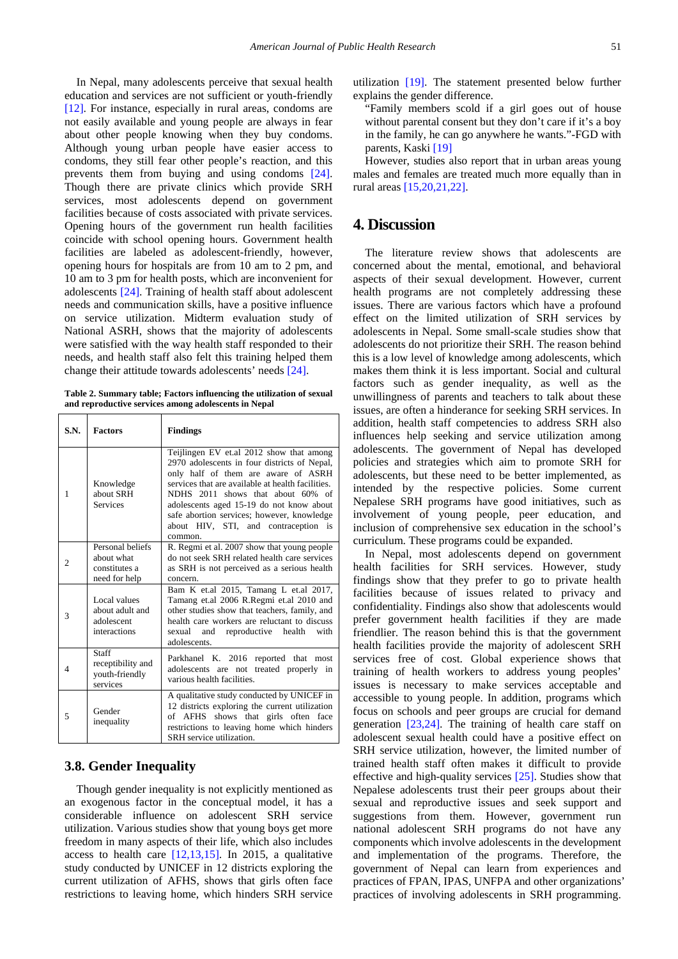In Nepal, many adolescents perceive that sexual health education and services are not sufficient or youth-friendly [\[12\].](#page-6-9) For instance, especially in rural areas, condoms are not easily available and young people are always in fear about other people knowing when they buy condoms. Although young urban people have easier access to condoms, they still fear other people's reaction, and this prevents them from buying and using condoms [\[24\].](#page-6-15) Though there are private clinics which provide SRH services, most adolescents depend on government facilities because of costs associated with private services. Opening hours of the government run health facilities coincide with school opening hours. Government health facilities are labeled as adolescent-friendly, however, opening hours for hospitals are from 10 am to 2 pm, and 10 am to 3 pm for health posts, which are inconvenient for adolescents [\[24\].](#page-6-15) Training of health staff about adolescent needs and communication skills, have a positive influence on service utilization. Midterm evaluation study of National ASRH, shows that the majority of adolescents were satisfied with the way health staff responded to their needs, and health staff also felt this training helped them change their attitude towards adolescents' needs [\[24\].](#page-6-15)

**Table 2. Summary table; Factors influencing the utilization of sexual and reproductive services among adolescents in Nepal**

| S.N.           | <b>Factors</b>                                                   | <b>Findings</b>                                                                                                                                                                                                                                                                                                                                                        |
|----------------|------------------------------------------------------------------|------------------------------------------------------------------------------------------------------------------------------------------------------------------------------------------------------------------------------------------------------------------------------------------------------------------------------------------------------------------------|
| 1              | Knowledge<br>about SRH<br><b>Services</b>                        | Teijlingen EV et.al 2012 show that among<br>2970 adolescents in four districts of Nepal,<br>only half of them are aware of ASRH<br>services that are available at health facilities.<br>NDHS 2011 shows that about 60% of<br>adolescents aged 15-19 do not know about<br>safe abortion services; however, knowledge<br>about HIV, STI, and contraception is<br>common. |
| $\overline{c}$ | Personal beliefs<br>about what<br>constitutes a<br>need for help | R. Regmi et al. 2007 show that young people<br>do not seek SRH related health care services<br>as SRH is not perceived as a serious health<br>concern.                                                                                                                                                                                                                 |
| 3              | Local values<br>about adult and<br>adolescent<br>interactions    | Bam K et.al 2015, Tamang L et.al 2017,<br>Tamang et.al 2006 R.Regmi et.al 2010 and<br>other studies show that teachers, family, and<br>health care workers are reluctant to discuss<br>sexual and reproductive health<br>with<br>adolescents.                                                                                                                          |
| 4              | Staff<br>receptibility and<br>youth-friendly<br>services         | Parkhanel K. 2016 reported that most<br>adolescents are not treated properly in<br>various health facilities.                                                                                                                                                                                                                                                          |
| 5              | Gender<br>inequality                                             | A qualitative study conducted by UNICEF in<br>12 districts exploring the current utilization<br>of AFHS shows that girls often face<br>restrictions to leaving home which hinders<br>SRH service utilization.                                                                                                                                                          |

#### **3.8. Gender Inequality**

Though gender inequality is not explicitly mentioned as an exogenous factor in the conceptual model, it has a considerable influence on adolescent SRH service utilization. Various studies show that young boys get more freedom in many aspects of their life, which also includes access to health care  $[12,13,15]$ . In 2015, a qualitative study conducted by UNICEF in 12 districts exploring the current utilization of AFHS, shows that girls often face restrictions to leaving home, which hinders SRH service utilization [\[19\].](#page-6-16) The statement presented below further explains the gender difference.

"Family members scold if a girl goes out of house without parental consent but they don't care if it's a boy in the family, he can go anywhere he wants."-FGD with parents, Kaski [\[19\]](#page-6-16)

However, studies also report that in urban areas young males and females are treated much more equally than in rural area[s \[15,20,21,22\].](#page-6-12)

#### **4. Discussion**

The literature review shows that adolescents are concerned about the mental, emotional, and behavioral aspects of their sexual development. However, current health programs are not completely addressing these issues. There are various factors which have a profound effect on the limited utilization of SRH services by adolescents in Nepal. Some small-scale studies show that adolescents do not prioritize their SRH. The reason behind this is a low level of knowledge among adolescents, which makes them think it is less important. Social and cultural factors such as gender inequality, as well as the unwillingness of parents and teachers to talk about these issues, are often a hinderance for seeking SRH services. In addition, health staff competencies to address SRH also influences help seeking and service utilization among adolescents. The government of Nepal has developed policies and strategies which aim to promote SRH for adolescents, but these need to be better implemented, as intended by the respective policies. Some current Nepalese SRH programs have good initiatives, such as involvement of young people, peer education, and inclusion of comprehensive sex education in the school's curriculum. These programs could be expanded.

In Nepal, most adolescents depend on government health facilities for SRH services. However, study findings show that they prefer to go to private health facilities because of issues related to privacy and confidentiality. Findings also show that adolescents would prefer government health facilities if they are made friendlier. The reason behind this is that the government health facilities provide the majority of adolescent SRH services free of cost. Global experience shows that training of health workers to address young peoples' issues is necessary to make services acceptable and accessible to young people. In addition, programs which focus on schools and peer groups are crucial for demand generation [\[23,24\].](#page-6-17) The training of health care staff on adolescent sexual health could have a positive effect on SRH service utilization, however, the limited number of trained health staff often makes it difficult to provide effective and high-quality services [\[25\].](#page-6-14) Studies show that Nepalese adolescents trust their peer groups about their sexual and reproductive issues and seek support and suggestions from them. However, government run national adolescent SRH programs do not have any components which involve adolescents in the development and implementation of the programs. Therefore, the government of Nepal can learn from experiences and practices of FPAN, IPAS, UNFPA and other organizations' practices of involving adolescents in SRH programming.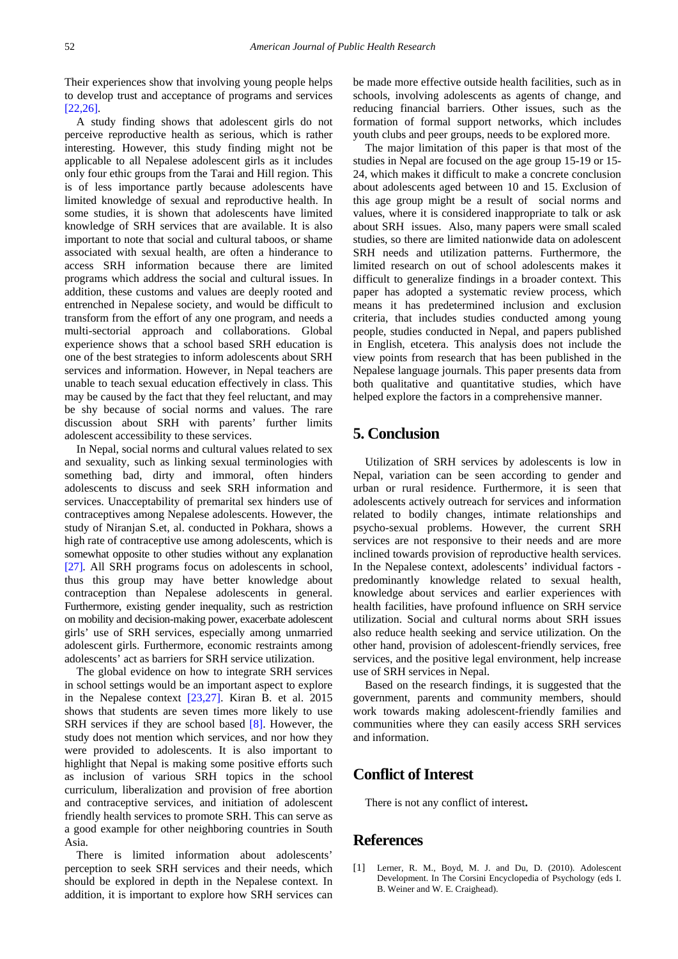Their experiences show that involving young people helps to develop trust and acceptance of programs and services [\[22,26\].](#page-6-18)

A study finding shows that adolescent girls do not perceive reproductive health as serious, which is rather interesting. However, this study finding might not be applicable to all Nepalese adolescent girls as it includes only four ethic groups from the Tarai and Hill region. This is of less importance partly because adolescents have limited knowledge of sexual and reproductive health. In some studies, it is shown that adolescents have limited knowledge of SRH services that are available. It is also important to note that social and cultural taboos, or shame associated with sexual health, are often a hinderance to access SRH information because there are limited programs which address the social and cultural issues. In addition, these customs and values are deeply rooted and entrenched in Nepalese society, and would be difficult to transform from the effort of any one program, and needs a multi-sectorial approach and collaborations. Global experience shows that a school based SRH education is one of the best strategies to inform adolescents about SRH services and information. However, in Nepal teachers are unable to teach sexual education effectively in class. This may be caused by the fact that they feel reluctant, and may be shy because of social norms and values. The rare discussion about SRH with parents' further limits adolescent accessibility to these services.

In Nepal, social norms and cultural values related to sex and sexuality, such as linking sexual terminologies with something bad, dirty and immoral, often hinders adolescents to discuss and seek SRH information and services. Unacceptability of premarital sex hinders use of contraceptives among Nepalese adolescents. However, the study of Niranjan S.et, al. conducted in Pokhara, shows a high rate of contraceptive use among adolescents, which is somewhat opposite to other studies without any explanation [\[27\].](#page-6-13) All SRH programs focus on adolescents in school, thus this group may have better knowledge about contraception than Nepalese adolescents in general. Furthermore, existing gender inequality, such as restriction on mobility and decision-making power, exacerbate adolescent girls' use of SRH services, especially among unmarried adolescent girls. Furthermore, economic restraints among adolescents' act as barriers for SRH service utilization.

The global evidence on how to integrate SRH services in school settings would be an important aspect to explore in the Nepalese context [\[23,27\].](#page-6-17) Kiran B. et al. 2015 shows that students are seven times more likely to use SRH services if they are school based [\[8\].](#page-6-5) However, the study does not mention which services, and nor how they were provided to adolescents. It is also important to highlight that Nepal is making some positive efforts such as inclusion of various SRH topics in the school curriculum, liberalization and provision of free abortion and contraceptive services, and initiation of adolescent friendly health services to promote SRH. This can serve as a good example for other neighboring countries in South Asia.

There is limited information about adolescents' perception to seek SRH services and their needs, which should be explored in depth in the Nepalese context. In addition, it is important to explore how SRH services can be made more effective outside health facilities, such as in schools, involving adolescents as agents of change, and reducing financial barriers. Other issues, such as the formation of formal support networks, which includes youth clubs and peer groups, needs to be explored more.

The major limitation of this paper is that most of the studies in Nepal are focused on the age group 15-19 or 15- 24, which makes it difficult to make a concrete conclusion about adolescents aged between 10 and 15. Exclusion of this age group might be a result of social norms and values, where it is considered inappropriate to talk or ask about SRH issues. Also, many papers were small scaled studies, so there are limited nationwide data on adolescent SRH needs and utilization patterns. Furthermore, the limited research on out of school adolescents makes it difficult to generalize findings in a broader context. This paper has adopted a systematic review process, which means it has predetermined inclusion and exclusion criteria, that includes studies conducted among young people, studies conducted in Nepal, and papers published in English, etcetera. This analysis does not include the view points from research that has been published in the Nepalese language journals. This paper presents data from both qualitative and quantitative studies, which have helped explore the factors in a comprehensive manner.

# **5. Conclusion**

Utilization of SRH services by adolescents is low in Nepal, variation can be seen according to gender and urban or rural residence. Furthermore, it is seen that adolescents actively outreach for services and information related to bodily changes, intimate relationships and psycho-sexual problems. However, the current SRH services are not responsive to their needs and are more inclined towards provision of reproductive health services. In the Nepalese context, adolescents' individual factors predominantly knowledge related to sexual health, knowledge about services and earlier experiences with health facilities, have profound influence on SRH service utilization. Social and cultural norms about SRH issues also reduce health seeking and service utilization. On the other hand, provision of adolescent-friendly services, free services, and the positive legal environment, help increase use of SRH services in Nepal.

Based on the research findings, it is suggested that the government, parents and community members, should work towards making adolescent-friendly families and communities where they can easily access SRH services and information.

# **Conflict of Interest**

There is not any conflict of interest**.** 

## **References**

<span id="page-5-0"></span>[1] Lerner, R. M., Boyd, M. J. and Du, D. (2010). Adolescent Development. In The Corsini Encyclopedia of Psychology (eds I. B. Weiner and W. E. Craighead).